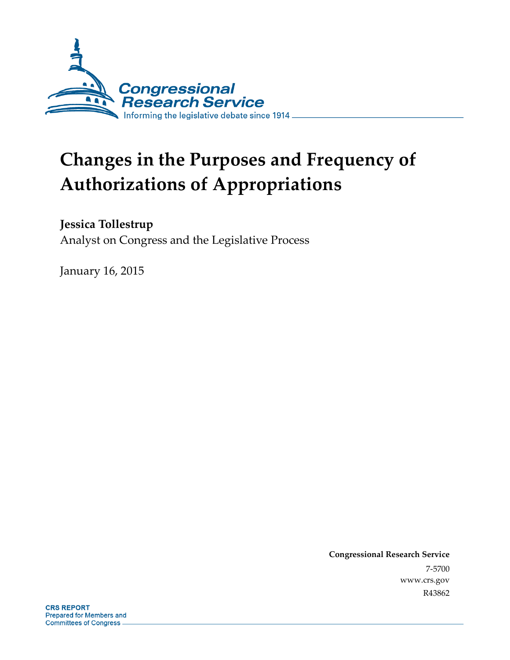

# **Changes in the Purposes and Frequency of Authorizations of Appropriations**

## **Jessica Tollestrup**

Analyst on Congress and the Legislative Process

January 16, 2015

**Congressional Research Service**  7-5700 www.crs.gov R43862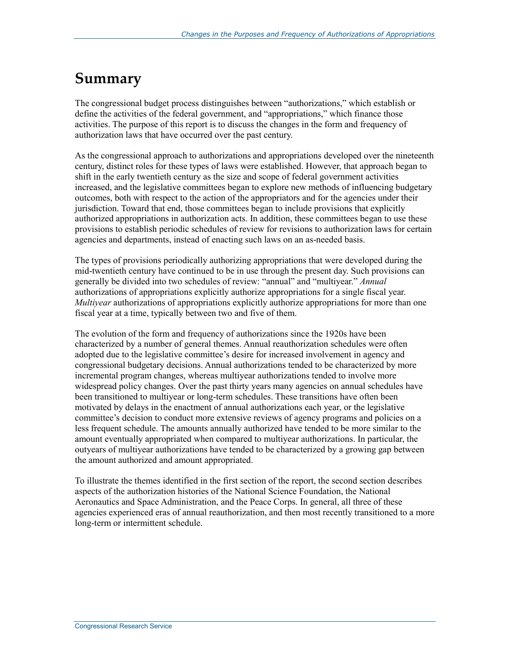## **Summary**

The congressional budget process distinguishes between "authorizations," which establish or define the activities of the federal government, and "appropriations," which finance those activities. The purpose of this report is to discuss the changes in the form and frequency of authorization laws that have occurred over the past century.

As the congressional approach to authorizations and appropriations developed over the nineteenth century, distinct roles for these types of laws were established. However, that approach began to shift in the early twentieth century as the size and scope of federal government activities increased, and the legislative committees began to explore new methods of influencing budgetary outcomes, both with respect to the action of the appropriators and for the agencies under their jurisdiction. Toward that end, those committees began to include provisions that explicitly authorized appropriations in authorization acts. In addition, these committees began to use these provisions to establish periodic schedules of review for revisions to authorization laws for certain agencies and departments, instead of enacting such laws on an as-needed basis.

The types of provisions periodically authorizing appropriations that were developed during the mid-twentieth century have continued to be in use through the present day. Such provisions can generally be divided into two schedules of review: "annual" and "multiyear." *Annual*  authorizations of appropriations explicitly authorize appropriations for a single fiscal year. *Multiyear* authorizations of appropriations explicitly authorize appropriations for more than one fiscal year at a time, typically between two and five of them.

The evolution of the form and frequency of authorizations since the 1920s have been characterized by a number of general themes. Annual reauthorization schedules were often adopted due to the legislative committee's desire for increased involvement in agency and congressional budgetary decisions. Annual authorizations tended to be characterized by more incremental program changes, whereas multiyear authorizations tended to involve more widespread policy changes. Over the past thirty years many agencies on annual schedules have been transitioned to multiyear or long-term schedules. These transitions have often been motivated by delays in the enactment of annual authorizations each year, or the legislative committee's decision to conduct more extensive reviews of agency programs and policies on a less frequent schedule. The amounts annually authorized have tended to be more similar to the amount eventually appropriated when compared to multiyear authorizations. In particular, the outyears of multiyear authorizations have tended to be characterized by a growing gap between the amount authorized and amount appropriated.

To illustrate the themes identified in the first section of the report, the second section describes aspects of the authorization histories of the National Science Foundation, the National Aeronautics and Space Administration, and the Peace Corps. In general, all three of these agencies experienced eras of annual reauthorization, and then most recently transitioned to a more long-term or intermittent schedule.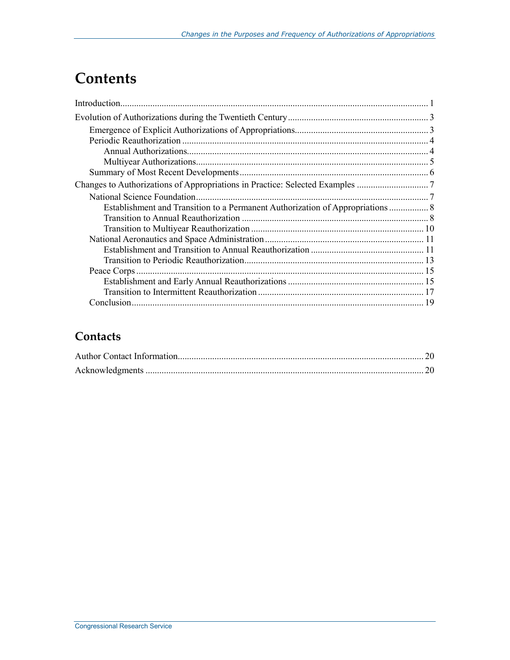## **Contents**

| Establishment and Transition to a Permanent Authorization of Appropriations  8 |  |
|--------------------------------------------------------------------------------|--|
|                                                                                |  |
|                                                                                |  |
|                                                                                |  |
|                                                                                |  |
|                                                                                |  |
|                                                                                |  |
|                                                                                |  |
|                                                                                |  |
|                                                                                |  |

## **Contacts**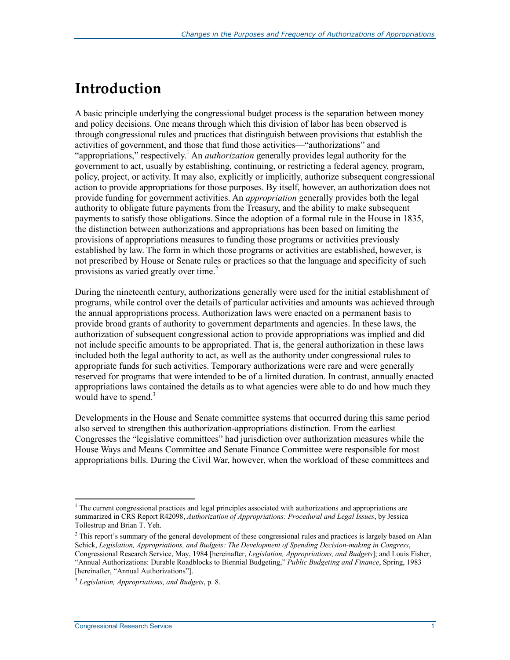## **Introduction**

A basic principle underlying the congressional budget process is the separation between money and policy decisions. One means through which this division of labor has been observed is through congressional rules and practices that distinguish between provisions that establish the activities of government, and those that fund those activities—"authorizations" and "appropriations," respectively.<sup>1</sup> An *authorization* generally provides legal authority for the government to act, usually by establishing, continuing, or restricting a federal agency, program, policy, project, or activity. It may also, explicitly or implicitly, authorize subsequent congressional action to provide appropriations for those purposes. By itself, however, an authorization does not provide funding for government activities. An *appropriation* generally provides both the legal authority to obligate future payments from the Treasury, and the ability to make subsequent payments to satisfy those obligations. Since the adoption of a formal rule in the House in 1835, the distinction between authorizations and appropriations has been based on limiting the provisions of appropriations measures to funding those programs or activities previously established by law. The form in which those programs or activities are established, however, is not prescribed by House or Senate rules or practices so that the language and specificity of such provisions as varied greatly over time.<sup>2</sup>

During the nineteenth century, authorizations generally were used for the initial establishment of programs, while control over the details of particular activities and amounts was achieved through the annual appropriations process. Authorization laws were enacted on a permanent basis to provide broad grants of authority to government departments and agencies. In these laws, the authorization of subsequent congressional action to provide appropriations was implied and did not include specific amounts to be appropriated. That is, the general authorization in these laws included both the legal authority to act, as well as the authority under congressional rules to appropriate funds for such activities. Temporary authorizations were rare and were generally reserved for programs that were intended to be of a limited duration. In contrast, annually enacted appropriations laws contained the details as to what agencies were able to do and how much they would have to spend. $3$ 

Developments in the House and Senate committee systems that occurred during this same period also served to strengthen this authorization-appropriations distinction. From the earliest Congresses the "legislative committees" had jurisdiction over authorization measures while the House Ways and Means Committee and Senate Finance Committee were responsible for most appropriations bills. During the Civil War, however, when the workload of these committees and

<sup>&</sup>lt;sup>1</sup> The current congressional practices and legal principles associated with authorizations and appropriations are summarized in CRS Report R42098, *Authorization of Appropriations: Procedural and Legal Issues*, by Jessica Tollestrup and Brian T. Yeh.

 $<sup>2</sup>$  This report's summary of the general development of these congressional rules and practices is largely based on Alan</sup> Schick, *Legislation, Appropriations, and Budgets: The Development of Spending Decision-making in Congress*, Congressional Research Service, May, 1984 [hereinafter, *Legislation, Appropriations, and Budgets*]; and Louis Fisher, "Annual Authorizations: Durable Roadblocks to Biennial Budgeting," *Public Budgeting and Finance*, Spring, 1983 [hereinafter, "Annual Authorizations"].

<sup>3</sup> *Legislation, Appropriations, and Budgets*, p. 8.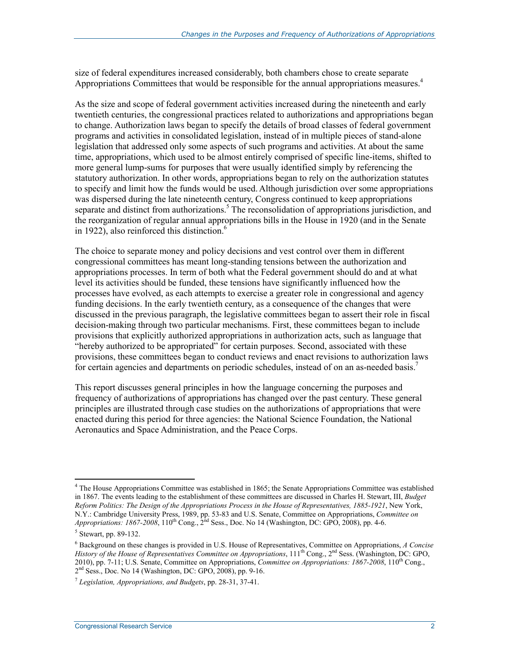size of federal expenditures increased considerably, both chambers chose to create separate Appropriations Committees that would be responsible for the annual appropriations measures.<sup>4</sup>

As the size and scope of federal government activities increased during the nineteenth and early twentieth centuries, the congressional practices related to authorizations and appropriations began to change. Authorization laws began to specify the details of broad classes of federal government programs and activities in consolidated legislation, instead of in multiple pieces of stand-alone legislation that addressed only some aspects of such programs and activities. At about the same time, appropriations, which used to be almost entirely comprised of specific line-items, shifted to more general lump-sums for purposes that were usually identified simply by referencing the statutory authorization. In other words, appropriations began to rely on the authorization statutes to specify and limit how the funds would be used. Although jurisdiction over some appropriations was dispersed during the late nineteenth century, Congress continued to keep appropriations separate and distinct from authorizations.<sup>5</sup> The reconsolidation of appropriations jurisdiction, and the reorganization of regular annual appropriations bills in the House in 1920 (and in the Senate in 1922), also reinforced this distinction. $<sup>6</sup>$ </sup>

The choice to separate money and policy decisions and vest control over them in different congressional committees has meant long-standing tensions between the authorization and appropriations processes. In term of both what the Federal government should do and at what level its activities should be funded, these tensions have significantly influenced how the processes have evolved, as each attempts to exercise a greater role in congressional and agency funding decisions. In the early twentieth century, as a consequence of the changes that were discussed in the previous paragraph, the legislative committees began to assert their role in fiscal decision-making through two particular mechanisms. First, these committees began to include provisions that explicitly authorized appropriations in authorization acts, such as language that "hereby authorized to be appropriated" for certain purposes. Second, associated with these provisions, these committees began to conduct reviews and enact revisions to authorization laws for certain agencies and departments on periodic schedules, instead of on an as-needed basis.<sup>7</sup>

This report discusses general principles in how the language concerning the purposes and frequency of authorizations of appropriations has changed over the past century. These general principles are illustrated through case studies on the authorizations of appropriations that were enacted during this period for three agencies: the National Science Foundation, the National Aeronautics and Space Administration, and the Peace Corps.

<sup>&</sup>lt;sup>4</sup> The House Appropriations Committee was established in 1865; the Senate Appropriations Committee was established in 1867. The events leading to the establishment of these committees are discussed in Charles H. Stewart, III, *Budget Reform Politics: The Design of the Appropriations Process in the House of Representatives, 1885-1921*, New York, N.Y.: Cambridge University Press, 1989, pp. 53-83 and U.S. Senate, Committee on Appropriations, *Committee on Appropriations: 1867-2008*, 110<sup>th</sup> Cong.,  $2^{nd}$  Sess., Doc. No 14 (Washington, DC: GPO, 2008), pp. 4-6.

<sup>5</sup> Stewart, pp. 89-132.

<sup>6</sup> Background on these changes is provided in U.S. House of Representatives, Committee on Appropriations, *A Concise History of the House of Representatives Committee on Appropriations*, 111<sup>th</sup> Cong., 2<sup>nd</sup> Sess. (Washington, DC: GPO, 2010), pp. 7-11; U.S. Senate, Committee on Appropriations, *Committee on Appropriations: 1867-2008*, 110<sup>th</sup> Cong.,  $2<sup>nd</sup> Sess.$ , Doc. No 14 (Washington, DC: GPO,  $2008$ ), pp. 9-16.

<sup>7</sup> *Legislation, Appropriations, and Budgets*, pp. 28-31, 37-41.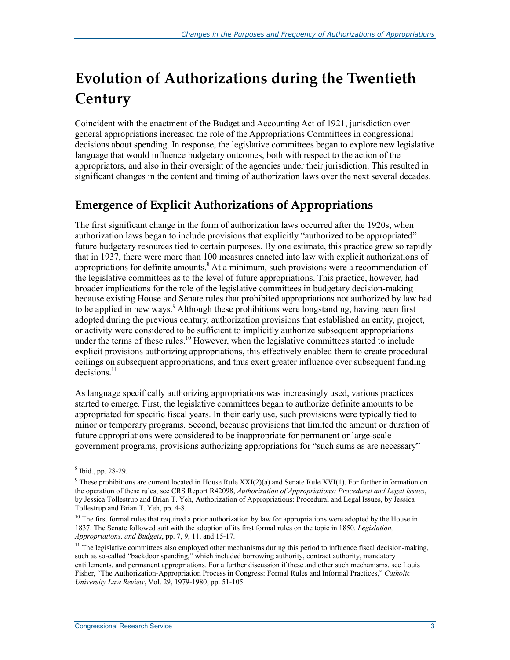## **Evolution of Authorizations during the Twentieth Century**

Coincident with the enactment of the Budget and Accounting Act of 1921, jurisdiction over general appropriations increased the role of the Appropriations Committees in congressional decisions about spending. In response, the legislative committees began to explore new legislative language that would influence budgetary outcomes, both with respect to the action of the appropriators, and also in their oversight of the agencies under their jurisdiction. This resulted in significant changes in the content and timing of authorization laws over the next several decades.

## **Emergence of Explicit Authorizations of Appropriations**

The first significant change in the form of authorization laws occurred after the 1920s, when authorization laws began to include provisions that explicitly "authorized to be appropriated" future budgetary resources tied to certain purposes. By one estimate, this practice grew so rapidly that in 1937, there were more than 100 measures enacted into law with explicit authorizations of appropriations for definite amounts.<sup>8</sup> At a minimum, such provisions were a recommendation of the legislative committees as to the level of future appropriations. This practice, however, had broader implications for the role of the legislative committees in budgetary decision-making because existing House and Senate rules that prohibited appropriations not authorized by law had to be applied in new ways.<sup>9</sup> Although these prohibitions were longstanding, having been first adopted during the previous century, authorization provisions that established an entity, project, or activity were considered to be sufficient to implicitly authorize subsequent appropriations under the terms of these rules.<sup>10</sup> However, when the legislative committees started to include explicit provisions authorizing appropriations, this effectively enabled them to create procedural ceilings on subsequent appropriations, and thus exert greater influence over subsequent funding decisions.<sup>11</sup>

As language specifically authorizing appropriations was increasingly used, various practices started to emerge. First, the legislative committees began to authorize definite amounts to be appropriated for specific fiscal years. In their early use, such provisions were typically tied to minor or temporary programs. Second, because provisions that limited the amount or duration of future appropriations were considered to be inappropriate for permanent or large-scale government programs, provisions authorizing appropriations for "such sums as are necessary"

<sup>8</sup> Ibid., pp. 28-29.

<sup>&</sup>lt;sup>9</sup> These prohibitions are current located in House Rule  $XXI(2)(a)$  and Senate Rule  $XVI(1)$ . For further information on the operation of these rules, see CRS Report R42098, *Authorization of Appropriations: Procedural and Legal Issues*, by Jessica Tollestrup and Brian T. Yeh, Authorization of Appropriations: Procedural and Legal Issues, by Jessica Tollestrup and Brian T. Yeh, pp. 4-8.

<sup>&</sup>lt;sup>10</sup> The first formal rules that required a prior authorization by law for appropriations were adopted by the House in 1837. The Senate followed suit with the adoption of its first formal rules on the topic in 1850. *Legislation, Appropriations, and Budgets*, pp. 7, 9, 11, and 15-17.

 $11$  The legislative committees also employed other mechanisms during this period to influence fiscal decision-making, such as so-called "backdoor spending," which included borrowing authority, contract authority, mandatory entitlements, and permanent appropriations. For a further discussion if these and other such mechanisms, see Louis Fisher, "The Authorization-Appropriation Process in Congress: Formal Rules and Informal Practices," *Catholic University Law Review*, Vol. 29, 1979-1980, pp. 51-105.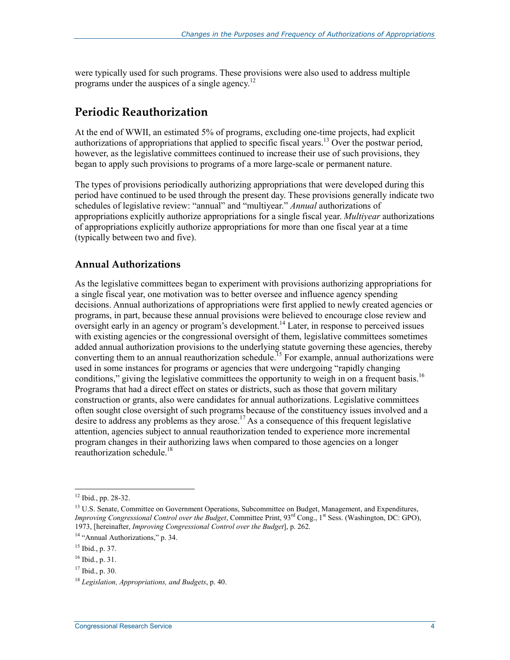were typically used for such programs. These provisions were also used to address multiple programs under the auspices of a single agency.<sup>12</sup>

#### **Periodic Reauthorization**

At the end of WWII, an estimated 5% of programs, excluding one-time projects, had explicit authorizations of appropriations that applied to specific fiscal years.<sup>13</sup> Over the postwar period, however, as the legislative committees continued to increase their use of such provisions, they began to apply such provisions to programs of a more large-scale or permanent nature.

The types of provisions periodically authorizing appropriations that were developed during this period have continued to be used through the present day. These provisions generally indicate two schedules of legislative review: "annual" and "multiyear." *Annual* authorizations of appropriations explicitly authorize appropriations for a single fiscal year. *Multiyear* authorizations of appropriations explicitly authorize appropriations for more than one fiscal year at a time (typically between two and five).

#### **Annual Authorizations**

As the legislative committees began to experiment with provisions authorizing appropriations for a single fiscal year, one motivation was to better oversee and influence agency spending decisions. Annual authorizations of appropriations were first applied to newly created agencies or programs, in part, because these annual provisions were believed to encourage close review and oversight early in an agency or program's development.<sup>14</sup> Later, in response to perceived issues with existing agencies or the congressional oversight of them, legislative committees sometimes added annual authorization provisions to the underlying statute governing these agencies, thereby converting them to an annual reauthorization schedule.<sup>15</sup> For example, annual authorizations were used in some instances for programs or agencies that were undergoing "rapidly changing conditions," giving the legislative committees the opportunity to weigh in on a frequent basis.<sup>16</sup> Programs that had a direct effect on states or districts, such as those that govern military construction or grants, also were candidates for annual authorizations. Legislative committees often sought close oversight of such programs because of the constituency issues involved and a desire to address any problems as they arose.<sup>17</sup> As a consequence of this frequent legislative attention, agencies subject to annual reauthorization tended to experience more incremental program changes in their authorizing laws when compared to those agencies on a longer reauthorization schedule.<sup>18</sup>

 $12$  Ibid., pp. 28-32.

<sup>&</sup>lt;sup>13</sup> U.S. Senate, Committee on Government Operations, Subcommittee on Budget, Management, and Expenditures, *Improving Congressional Control over the Budget*, Committee Print, 93<sup>rd</sup> Cong., 1<sup>st</sup> Sess. (Washington, DC: GPO), 1973, [hereinafter, *Improving Congressional Control over the Budget*], p. 262.

<sup>&</sup>lt;sup>14</sup> "Annual Authorizations," p. 34.

 $15$  Ibid., p. 37.

<sup>16</sup> Ibid., p. 31.

 $17$  Ibid., p. 30.

<sup>18</sup> *Legislation, Appropriations, and Budgets*, p. 40.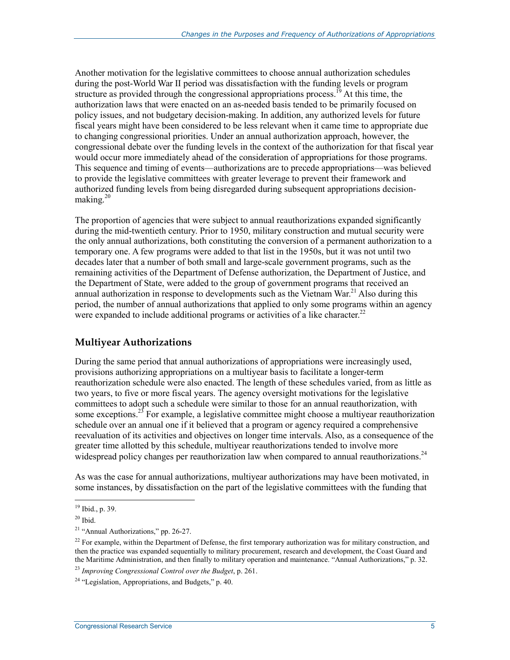Another motivation for the legislative committees to choose annual authorization schedules during the post-World War II period was dissatisfaction with the funding levels or program structure as provided through the congressional appropriations process.<sup>19</sup> At this time, the authorization laws that were enacted on an as-needed basis tended to be primarily focused on policy issues, and not budgetary decision-making. In addition, any authorized levels for future fiscal years might have been considered to be less relevant when it came time to appropriate due to changing congressional priorities. Under an annual authorization approach, however, the congressional debate over the funding levels in the context of the authorization for that fiscal year would occur more immediately ahead of the consideration of appropriations for those programs. This sequence and timing of events—authorizations are to precede appropriations—was believed to provide the legislative committees with greater leverage to prevent their framework and authorized funding levels from being disregarded during subsequent appropriations decisionmaking. $20$ 

The proportion of agencies that were subject to annual reauthorizations expanded significantly during the mid-twentieth century. Prior to 1950, military construction and mutual security were the only annual authorizations, both constituting the conversion of a permanent authorization to a temporary one. A few programs were added to that list in the 1950s, but it was not until two decades later that a number of both small and large-scale government programs, such as the remaining activities of the Department of Defense authorization, the Department of Justice, and the Department of State, were added to the group of government programs that received an annual authorization in response to developments such as the Vietnam War.<sup>21</sup> Also during this period, the number of annual authorizations that applied to only some programs within an agency were expanded to include additional programs or activities of a like character.<sup>22</sup>

#### **Multiyear Authorizations**

During the same period that annual authorizations of appropriations were increasingly used, provisions authorizing appropriations on a multiyear basis to facilitate a longer-term reauthorization schedule were also enacted. The length of these schedules varied, from as little as two years, to five or more fiscal years. The agency oversight motivations for the legislative committees to adopt such a schedule were similar to those for an annual reauthorization, with some exceptions.<sup>23</sup> For example, a legislative committee might choose a multiyear reauthorization schedule over an annual one if it believed that a program or agency required a comprehensive reevaluation of its activities and objectives on longer time intervals. Also, as a consequence of the greater time allotted by this schedule, multiyear reauthorizations tended to involve more widespread policy changes per reauthorization law when compared to annual reauthorizations.<sup>24</sup>

As was the case for annual authorizations, multiyear authorizations may have been motivated, in some instances, by dissatisfaction on the part of the legislative committees with the funding that

<sup>19</sup> Ibid., p. 39.

 $20$  Ibid.

<sup>21 &</sup>quot;Annual Authorizations," pp. 26-27.

<sup>&</sup>lt;sup>22</sup> For example, within the Department of Defense, the first temporary authorization was for military construction, and then the practice was expanded sequentially to military procurement, research and development, the Coast Guard and the Maritime Administration, and then finally to military operation and maintenance. "Annual Authorizations," p. 32.

<sup>23</sup> *Improving Congressional Control over the Budget*, p. 261.

 $24$  "Legislation, Appropriations, and Budgets," p. 40.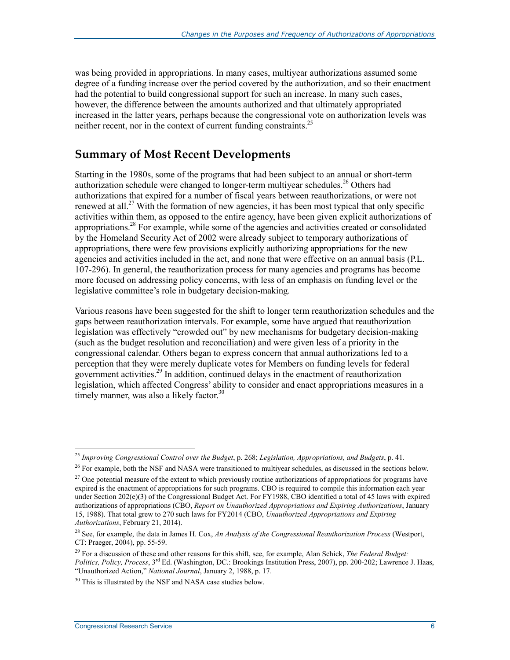was being provided in appropriations. In many cases, multiyear authorizations assumed some degree of a funding increase over the period covered by the authorization, and so their enactment had the potential to build congressional support for such an increase. In many such cases, however, the difference between the amounts authorized and that ultimately appropriated increased in the latter years, perhaps because the congressional vote on authorization levels was neither recent, nor in the context of current funding constraints.<sup>25</sup>

### **Summary of Most Recent Developments**

Starting in the 1980s, some of the programs that had been subject to an annual or short-term authorization schedule were changed to longer-term multiyear schedules.<sup>26</sup> Others had authorizations that expired for a number of fiscal years between reauthorizations, or were not renewed at all.<sup>27</sup> With the formation of new agencies, it has been most typical that only specific activities within them, as opposed to the entire agency, have been given explicit authorizations of appropriations.28 For example, while some of the agencies and activities created or consolidated by the Homeland Security Act of 2002 were already subject to temporary authorizations of appropriations, there were few provisions explicitly authorizing appropriations for the new agencies and activities included in the act, and none that were effective on an annual basis (P.L. 107-296). In general, the reauthorization process for many agencies and programs has become more focused on addressing policy concerns, with less of an emphasis on funding level or the legislative committee's role in budgetary decision-making.

Various reasons have been suggested for the shift to longer term reauthorization schedules and the gaps between reauthorization intervals. For example, some have argued that reauthorization legislation was effectively "crowded out" by new mechanisms for budgetary decision-making (such as the budget resolution and reconciliation) and were given less of a priority in the congressional calendar. Others began to express concern that annual authorizations led to a perception that they were merely duplicate votes for Members on funding levels for federal government activities.<sup>29</sup> In addition, continued delays in the enactment of reauthorization legislation, which affected Congress' ability to consider and enact appropriations measures in a timely manner, was also a likely factor.<sup>30</sup>

<sup>25</sup> *Improving Congressional Control over the Budget*, p. 268; *Legislation, Appropriations, and Budgets*, p. 41.

<sup>&</sup>lt;sup>26</sup> For example, both the NSF and NASA were transitioned to multiyear schedules, as discussed in the sections below.

<sup>&</sup>lt;sup>27</sup> One potential measure of the extent to which previously routine authorizations of appropriations for programs have expired is the enactment of appropriations for such programs. CBO is required to compile this information each year under Section 202(e)(3) of the Congressional Budget Act. For FY1988, CBO identified a total of 45 laws with expired authorizations of appropriations (CBO, *Report on Unauthorized Appropriations and Expiring Authorizations*, January 15, 1988). That total grew to 270 such laws for FY2014 (CBO, *Unauthorized Appropriations and Expiring Authorizations*, February 21, 2014).

<sup>28</sup> See, for example, the data in James H. Cox, *An Analysis of the Congressional Reauthorization Process* (Westport, CT: Praeger, 2004), pp. 55-59.

<sup>29</sup> For a discussion of these and other reasons for this shift, see, for example, Alan Schick, *The Federal Budget: Politics, Policy, Process*, 3rd Ed. (Washington, DC.: Brookings Institution Press, 2007), pp. 200-202; Lawrence J. Haas, "Unauthorized Action," *National Journal*, January 2, 1988, p. 17.

<sup>&</sup>lt;sup>30</sup> This is illustrated by the NSF and NASA case studies below.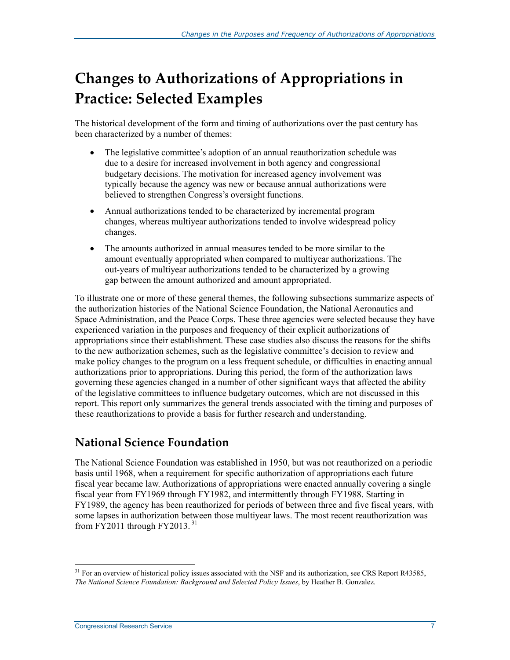## **Changes to Authorizations of Appropriations in Practice: Selected Examples**

The historical development of the form and timing of authorizations over the past century has been characterized by a number of themes:

- The legislative committee's adoption of an annual reauthorization schedule was due to a desire for increased involvement in both agency and congressional budgetary decisions. The motivation for increased agency involvement was typically because the agency was new or because annual authorizations were believed to strengthen Congress's oversight functions.
- Annual authorizations tended to be characterized by incremental program changes, whereas multiyear authorizations tended to involve widespread policy changes.
- The amounts authorized in annual measures tended to be more similar to the amount eventually appropriated when compared to multiyear authorizations. The out-years of multiyear authorizations tended to be characterized by a growing gap between the amount authorized and amount appropriated.

To illustrate one or more of these general themes, the following subsections summarize aspects of the authorization histories of the National Science Foundation, the National Aeronautics and Space Administration, and the Peace Corps. These three agencies were selected because they have experienced variation in the purposes and frequency of their explicit authorizations of appropriations since their establishment. These case studies also discuss the reasons for the shifts to the new authorization schemes, such as the legislative committee's decision to review and make policy changes to the program on a less frequent schedule, or difficulties in enacting annual authorizations prior to appropriations. During this period, the form of the authorization laws governing these agencies changed in a number of other significant ways that affected the ability of the legislative committees to influence budgetary outcomes, which are not discussed in this report. This report only summarizes the general trends associated with the timing and purposes of these reauthorizations to provide a basis for further research and understanding.

### **National Science Foundation**

The National Science Foundation was established in 1950, but was not reauthorized on a periodic basis until 1968, when a requirement for specific authorization of appropriations each future fiscal year became law. Authorizations of appropriations were enacted annually covering a single fiscal year from FY1969 through FY1982, and intermittently through FY1988. Starting in FY1989, the agency has been reauthorized for periods of between three and five fiscal years, with some lapses in authorization between those multiyear laws. The most recent reauthorization was from FY2011 through FY2013. $31$ 

 $31$  For an overview of historical policy issues associated with the NSF and its authorization, see CRS Report R43585, *The National Science Foundation: Background and Selected Policy Issues*, by Heather B. Gonzalez.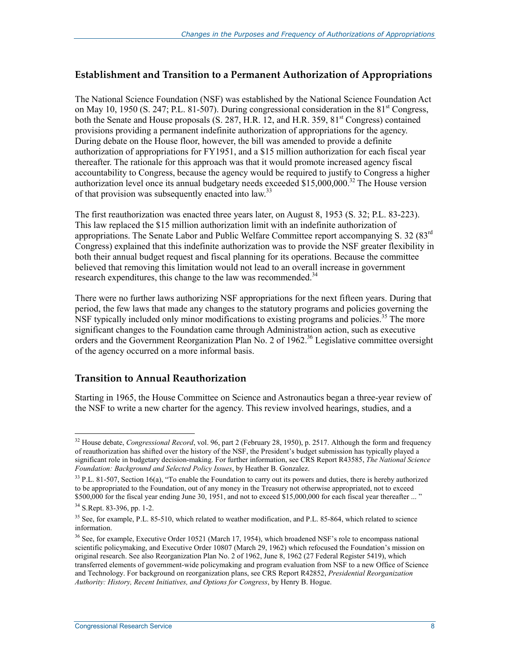#### **Establishment and Transition to a Permanent Authorization of Appropriations**

The National Science Foundation (NSF) was established by the National Science Foundation Act on May 10, 1950 (S. 247; P.L. 81-507). During congressional consideration in the  $81<sup>st</sup>$  Congress, both the Senate and House proposals (S. 287, H.R. 12, and H.R. 359, 81<sup>st</sup> Congress) contained provisions providing a permanent indefinite authorization of appropriations for the agency. During debate on the House floor, however, the bill was amended to provide a definite authorization of appropriations for FY1951, and a \$15 million authorization for each fiscal year thereafter. The rationale for this approach was that it would promote increased agency fiscal accountability to Congress, because the agency would be required to justify to Congress a higher authorization level once its annual budgetary needs exceeded \$15,000,000.<sup>32</sup> The House version of that provision was subsequently enacted into law.<sup>33</sup>

The first reauthorization was enacted three years later, on August 8, 1953 (S. 32; P.L. 83-223). This law replaced the \$15 million authorization limit with an indefinite authorization of appropriations. The Senate Labor and Public Welfare Committee report accompanying S. 32 (83<sup>rd</sup> Congress) explained that this indefinite authorization was to provide the NSF greater flexibility in both their annual budget request and fiscal planning for its operations. Because the committee believed that removing this limitation would not lead to an overall increase in government research expenditures, this change to the law was recommended.<sup>34</sup>

There were no further laws authorizing NSF appropriations for the next fifteen years. During that period, the few laws that made any changes to the statutory programs and policies governing the NSF typically included only minor modifications to existing programs and policies.<sup>35</sup> The more significant changes to the Foundation came through Administration action, such as executive orders and the Government Reorganization Plan No. 2 of 1962.<sup>36</sup> Legislative committee oversight of the agency occurred on a more informal basis.

#### **Transition to Annual Reauthorization**

Starting in 1965, the House Committee on Science and Astronautics began a three-year review of the NSF to write a new charter for the agency. This review involved hearings, studies, and a

<sup>&</sup>lt;u>.</u> <sup>32</sup> House debate, *Congressional Record*, vol. 96, part 2 (February 28, 1950), p. 2517. Although the form and frequency of reauthorization has shifted over the history of the NSF, the President's budget submission has typically played a significant role in budgetary decision-making. For further information, see CRS Report R43585, *The National Science Foundation: Background and Selected Policy Issues*, by Heather B. Gonzalez.

 $33$  P.L. 81-507, Section 16(a), "To enable the Foundation to carry out its powers and duties, there is hereby authorized to be appropriated to the Foundation, out of any money in the Treasury not otherwise appropriated, not to exceed \$500,000 for the fiscal year ending June 30, 1951, and not to exceed \$15,000,000 for each fiscal year thereafter ... "

<sup>34</sup> S.Rept. 83-396, pp. 1-2.

<sup>&</sup>lt;sup>35</sup> See, for example, P.L. 85-510, which related to weather modification, and P.L. 85-864, which related to science information.

<sup>&</sup>lt;sup>36</sup> See, for example, Executive Order 10521 (March 17, 1954), which broadened NSF's role to encompass national scientific policymaking, and Executive Order 10807 (March 29, 1962) which refocused the Foundation's mission on original research. See also Reorganization Plan No. 2 of 1962, June 8, 1962 (27 Federal Register 5419), which transferred elements of government-wide policymaking and program evaluation from NSF to a new Office of Science and Technology. For background on reorganization plans, see CRS Report R42852, *Presidential Reorganization Authority: History, Recent Initiatives, and Options for Congress*, by Henry B. Hogue.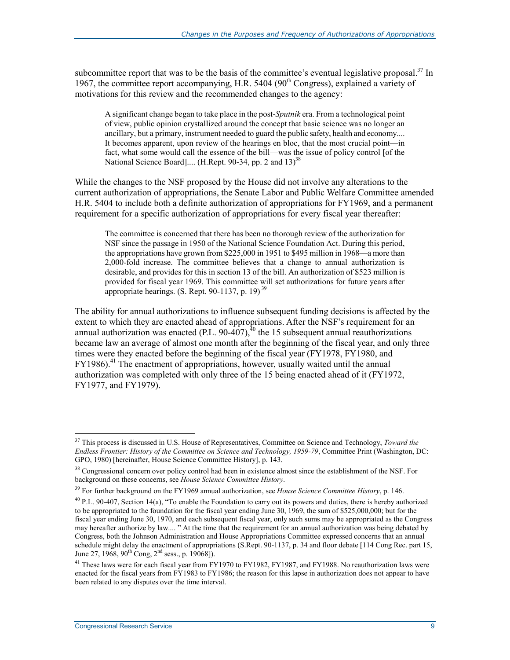subcommittee report that was to be the basis of the committee's eventual legislative proposal.<sup>37</sup> In 1967, the committee report accompanying, H.R. 5404 ( $90<sup>th</sup>$  Congress), explained a variety of motivations for this review and the recommended changes to the agency:

A significant change began to take place in the post-*Sputnik* era. From a technological point of view, public opinion crystallized around the concept that basic science was no longer an ancillary, but a primary, instrument needed to guard the public safety, health and economy.... It becomes apparent, upon review of the hearings en bloc, that the most crucial point—in fact, what some would call the essence of the bill—was the issue of policy control [of the National Science Board].... (H.Rept. 90-34, pp. 2 and 13)<sup>38</sup>

While the changes to the NSF proposed by the House did not involve any alterations to the current authorization of appropriations, the Senate Labor and Public Welfare Committee amended H.R. 5404 to include both a definite authorization of appropriations for FY1969, and a permanent requirement for a specific authorization of appropriations for every fiscal year thereafter:

The committee is concerned that there has been no thorough review of the authorization for NSF since the passage in 1950 of the National Science Foundation Act. During this period, the appropriations have grown from \$225,000 in 1951 to \$495 million in 1968—a more than 2,000-fold increase. The committee believes that a change to annual authorization is desirable, and provides for this in section 13 of the bill. An authorization of \$523 million is provided for fiscal year 1969. This committee will set authorizations for future years after appropriate hearings. (S. Rept. 90-1137, p. 19) 39

The ability for annual authorizations to influence subsequent funding decisions is affected by the extent to which they are enacted ahead of appropriations. After the NSF's requirement for an annual authorization was enacted (P.L. 90-407),<sup>40</sup> the 15 subsequent annual reauthorizations became law an average of almost one month after the beginning of the fiscal year, and only three times were they enacted before the beginning of the fiscal year (FY1978, FY1980, and  $FY1986$ <sup>41</sup> The enactment of appropriations, however, usually waited until the annual authorization was completed with only three of the 15 being enacted ahead of it (FY1972, FY1977, and FY1979).

<sup>37</sup> This process is discussed in U.S. House of Representatives, Committee on Science and Technology, *Toward the Endless Frontier: History of the Committee on Science and Technology, 1959-79*, Committee Print (Washington, DC: GPO, 1980) [hereinafter, House Science Committee History], p. 143.

<sup>&</sup>lt;sup>38</sup> Congressional concern over policy control had been in existence almost since the establishment of the NSF. For background on these concerns, see *House Science Committee History*.

<sup>39</sup> For further background on the FY1969 annual authorization, see *House Science Committee History*, p. 146.

 $40$  P.L. 90-407, Section 14(a), "To enable the Foundation to carry out its powers and duties, there is hereby authorized to be appropriated to the foundation for the fiscal year ending June 30, 1969, the sum of \$525,000,000; but for the fiscal year ending June 30, 1970, and each subsequent fiscal year, only such sums may be appropriated as the Congress may hereafter authorize by law.... " At the time that the requirement for an annual authorization was being debated by Congress, both the Johnson Administration and House Appropriations Committee expressed concerns that an annual schedule might delay the enactment of appropriations (S.Rept. 90-1137, p. 34 and floor debate [114 Cong Rec. part 15, June 27, 1968, 90<sup>th</sup> Cong, 2<sup>nd</sup> sess., p. 19068]).

<sup>&</sup>lt;sup>41</sup> These laws were for each fiscal year from FY1970 to FY1982, FY1987, and FY1988. No reauthorization laws were enacted for the fiscal years from FY1983 to FY1986; the reason for this lapse in authorization does not appear to have been related to any disputes over the time interval.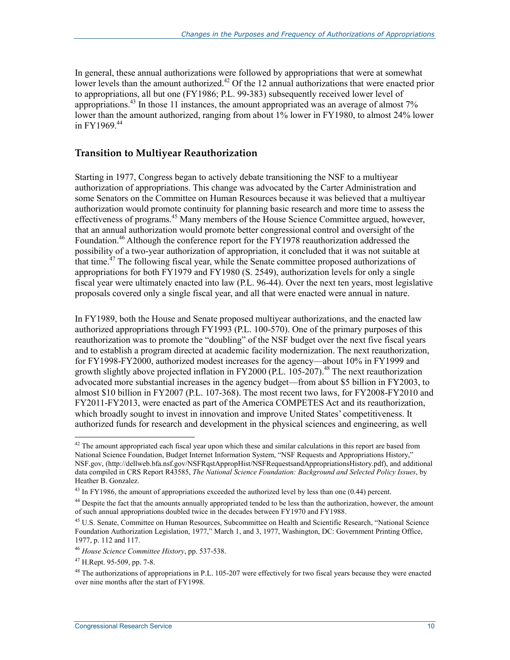In general, these annual authorizations were followed by appropriations that were at somewhat lower levels than the amount authorized.<sup>42</sup> Of the 12 annual authorizations that were enacted prior to appropriations, all but one (FY1986; P.L. 99-383) subsequently received lower level of appropriations.<sup>43</sup> In those 11 instances, the amount appropriated was an average of almost  $7\%$ lower than the amount authorized, ranging from about 1% lower in FY1980, to almost 24% lower in FY1969<sup>44</sup>

#### **Transition to Multiyear Reauthorization**

Starting in 1977, Congress began to actively debate transitioning the NSF to a multiyear authorization of appropriations. This change was advocated by the Carter Administration and some Senators on the Committee on Human Resources because it was believed that a multiyear authorization would promote continuity for planning basic research and more time to assess the effectiveness of programs.<sup>45</sup> Many members of the House Science Committee argued, however, that an annual authorization would promote better congressional control and oversight of the Foundation.<sup>46</sup> Although the conference report for the FY1978 reauthorization addressed the possibility of a two-year authorization of appropriation, it concluded that it was not suitable at that time.<sup>47</sup> The following fiscal year, while the Senate committee proposed authorizations of appropriations for both FY1979 and FY1980 (S. 2549), authorization levels for only a single fiscal year were ultimately enacted into law (P.L. 96-44). Over the next ten years, most legislative proposals covered only a single fiscal year, and all that were enacted were annual in nature.

In FY1989, both the House and Senate proposed multiyear authorizations, and the enacted law authorized appropriations through FY1993 (P.L. 100-570). One of the primary purposes of this reauthorization was to promote the "doubling" of the NSF budget over the next five fiscal years and to establish a program directed at academic facility modernization. The next reauthorization, for FY1998-FY2000, authorized modest increases for the agency—about 10% in FY1999 and growth slightly above projected inflation in FY2000 (P.L.  $105-207$ ).<sup>48</sup> The next reauthorization advocated more substantial increases in the agency budget—from about \$5 billion in FY2003, to almost \$10 billion in FY2007 (P.L. 107-368). The most recent two laws, for FY2008-FY2010 and FY2011-FY2013, were enacted as part of the America COMPETES Act and its reauthorization, which broadly sought to invest in innovation and improve United States' competitiveness. It authorized funds for research and development in the physical sciences and engineering, as well

 $42$  The amount appropriated each fiscal year upon which these and similar calculations in this report are based from National Science Foundation, Budget Internet Information System, "NSF Requests and Appropriations History," NSF.gov, (http://dellweb.bfa.nsf.gov/NSFRqstAppropHist/NSFRequestsandAppropriationsHistory.pdf), and additional data compiled in CRS Report R43585, *The National Science Foundation: Background and Selected Policy Issues*, by Heather B. Gonzalez.

 $^{43}$  In FY1986, the amount of appropriations exceeded the authorized level by less than one (0.44) percent.

<sup>&</sup>lt;sup>44</sup> Despite the fact that the amounts annually appropriated tended to be less than the authorization, however, the amount of such annual appropriations doubled twice in the decades between FY1970 and FY1988.

<sup>&</sup>lt;sup>45</sup> U.S. Senate, Committee on Human Resources, Subcommittee on Health and Scientific Research, "National Science Foundation Authorization Legislation, 1977," March 1, and 3, 1977, Washington, DC: Government Printing Office, 1977, p. 112 and 117.

<sup>46</sup> *House Science Committee History*, pp. 537-538.

<sup>47</sup> H.Rept. 95-509, pp. 7-8.

 $^{48}$  The authorizations of appropriations in P.L. 105-207 were effectively for two fiscal years because they were enacted over nine months after the start of FY1998.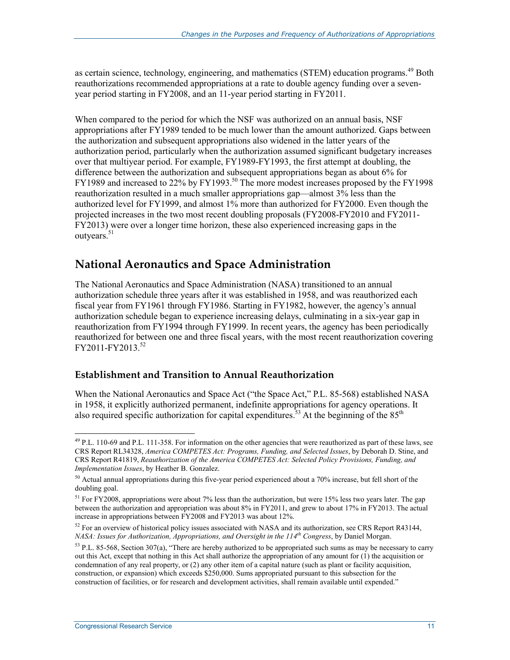as certain science, technology, engineering, and mathematics (STEM) education programs.<sup>49</sup> Both reauthorizations recommended appropriations at a rate to double agency funding over a sevenyear period starting in FY2008, and an 11-year period starting in FY2011.

When compared to the period for which the NSF was authorized on an annual basis, NSF appropriations after FY1989 tended to be much lower than the amount authorized. Gaps between the authorization and subsequent appropriations also widened in the latter years of the authorization period, particularly when the authorization assumed significant budgetary increases over that multiyear period. For example, FY1989-FY1993, the first attempt at doubling, the difference between the authorization and subsequent appropriations began as about 6% for FY1989 and increased to 22% by FY1993.<sup>50</sup> The more modest increases proposed by the FY1998 reauthorization resulted in a much smaller appropriations gap—almost  $3\%$  less than the authorized level for FY1999, and almost 1% more than authorized for FY2000. Even though the projected increases in the two most recent doubling proposals (FY2008-FY2010 and FY2011- FY2013) were over a longer time horizon, these also experienced increasing gaps in the outvears.<sup>51</sup>

### **National Aeronautics and Space Administration**

The National Aeronautics and Space Administration (NASA) transitioned to an annual authorization schedule three years after it was established in 1958, and was reauthorized each fiscal year from FY1961 through FY1986. Starting in FY1982, however, the agency's annual authorization schedule began to experience increasing delays, culminating in a six-year gap in reauthorization from FY1994 through FY1999. In recent years, the agency has been periodically reauthorized for between one and three fiscal years, with the most recent reauthorization covering FY2011-FY2013.<sup>52</sup>

#### **Establishment and Transition to Annual Reauthorization**

When the National Aeronautics and Space Act ("the Space Act," P.L. 85-568) established NASA in 1958, it explicitly authorized permanent, indefinite appropriations for agency operations. It also required specific authorization for capital expenditures.<sup>53</sup> At the beginning of the  $85<sup>th</sup>$ 

 $^{49}$  P.L. 110-69 and P.L. 111-358. For information on the other agencies that were reauthorized as part of these laws, see CRS Report RL34328, *America COMPETES Act: Programs, Funding, and Selected Issues*, by Deborah D. Stine, and CRS Report R41819, *Reauthorization of the America COMPETES Act: Selected Policy Provisions, Funding, and Implementation Issues*, by Heather B. Gonzalez.

<sup>&</sup>lt;sup>50</sup> Actual annual appropriations during this five-year period experienced about a 70% increase, but fell short of the doubling goal.

<sup>&</sup>lt;sup>51</sup> For FY2008, appropriations were about 7% less than the authorization, but were 15% less two years later. The gap between the authorization and appropriation was about 8% in FY2011, and grew to about 17% in FY2013. The actual increase in appropriations between FY2008 and FY2013 was about 12%.

<sup>&</sup>lt;sup>52</sup> For an overview of historical policy issues associated with NASA and its authorization, see CRS Report R43144, *NASA: Issues for Authorization, Appropriations, and Oversight in the 114th Congress*, by Daniel Morgan.

 $53$  P.L. 85-568, Section 307(a), "There are hereby authorized to be appropriated such sums as may be necessary to carry out this Act, except that nothing in this Act shall authorize the appropriation of any amount for (1) the acquisition or condemnation of any real property, or (2) any other item of a capital nature (such as plant or facility acquisition, construction, or expansion) which exceeds \$250,000. Sums appropriated pursuant to this subsection for the construction of facilities, or for research and development activities, shall remain available until expended."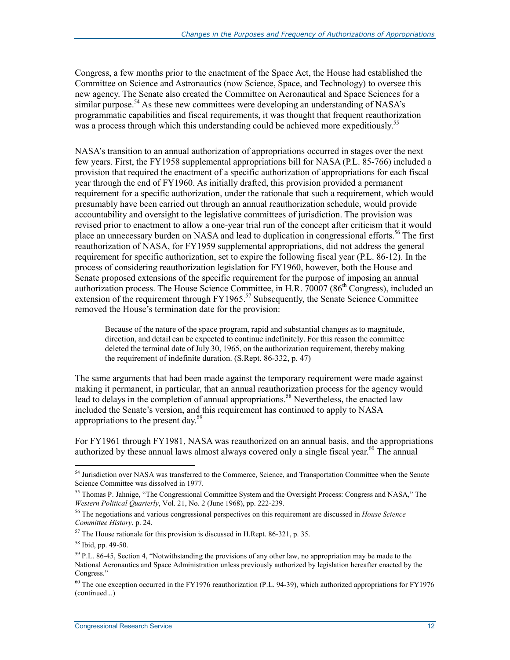Congress, a few months prior to the enactment of the Space Act, the House had established the Committee on Science and Astronautics (now Science, Space, and Technology) to oversee this new agency. The Senate also created the Committee on Aeronautical and Space Sciences for a similar purpose.<sup>54</sup> As these new committees were developing an understanding of NASA's programmatic capabilities and fiscal requirements, it was thought that frequent reauthorization was a process through which this understanding could be achieved more expeditiously.<sup>55</sup>

NASA's transition to an annual authorization of appropriations occurred in stages over the next few years. First, the FY1958 supplemental appropriations bill for NASA (P.L. 85-766) included a provision that required the enactment of a specific authorization of appropriations for each fiscal year through the end of FY1960. As initially drafted, this provision provided a permanent requirement for a specific authorization, under the rationale that such a requirement, which would presumably have been carried out through an annual reauthorization schedule, would provide accountability and oversight to the legislative committees of jurisdiction. The provision was revised prior to enactment to allow a one-year trial run of the concept after criticism that it would place an unnecessary burden on NASA and lead to duplication in congressional efforts.<sup>56</sup> The first reauthorization of NASA, for FY1959 supplemental appropriations, did not address the general requirement for specific authorization, set to expire the following fiscal year (P.L. 86-12). In the process of considering reauthorization legislation for FY1960, however, both the House and Senate proposed extensions of the specific requirement for the purpose of imposing an annual authorization process. The House Science Committee, in H.R. 70007 (86<sup>th</sup> Congress), included an extension of the requirement through FY1965.<sup>57</sup> Subsequently, the Senate Science Committee removed the House's termination date for the provision:

Because of the nature of the space program, rapid and substantial changes as to magnitude, direction, and detail can be expected to continue indefinitely. For this reason the committee deleted the terminal date of July 30, 1965, on the authorization requirement, thereby making the requirement of indefinite duration. (S.Rept. 86-332, p. 47)

The same arguments that had been made against the temporary requirement were made against making it permanent, in particular, that an annual reauthorization process for the agency would lead to delays in the completion of annual appropriations.<sup>58</sup> Nevertheless, the enacted law included the Senate's version, and this requirement has continued to apply to NASA appropriations to the present day.<sup>59</sup>

For FY1961 through FY1981, NASA was reauthorized on an annual basis, and the appropriations authorized by these annual laws almost always covered only a single fiscal year.<sup>60</sup> The annual

<sup>&</sup>lt;sup>54</sup> Jurisdiction over NASA was transferred to the Commerce, Science, and Transportation Committee when the Senate Science Committee was dissolved in 1977.

<sup>55</sup> Thomas P. Jahnige, "The Congressional Committee System and the Oversight Process: Congress and NASA," The *Western Political Quarterly*, Vol. 21, No. 2 (June 1968), pp. 222-239.

<sup>56</sup> The negotiations and various congressional perspectives on this requirement are discussed in *House Science Committee History*, p. 24.

 $57$  The House rationale for this provision is discussed in H.Rept. 86-321, p. 35.

<sup>58</sup> Ibid, pp. 49-50.

<sup>&</sup>lt;sup>59</sup> P.L. 86-45, Section 4, "Notwithstanding the provisions of any other law, no appropriation may be made to the National Aeronautics and Space Administration unless previously authorized by legislation hereafter enacted by the Congress."

<sup>&</sup>lt;sup>60</sup> The one exception occurred in the FY1976 reauthorization (P.L. 94-39), which authorized appropriations for FY1976 (continued...)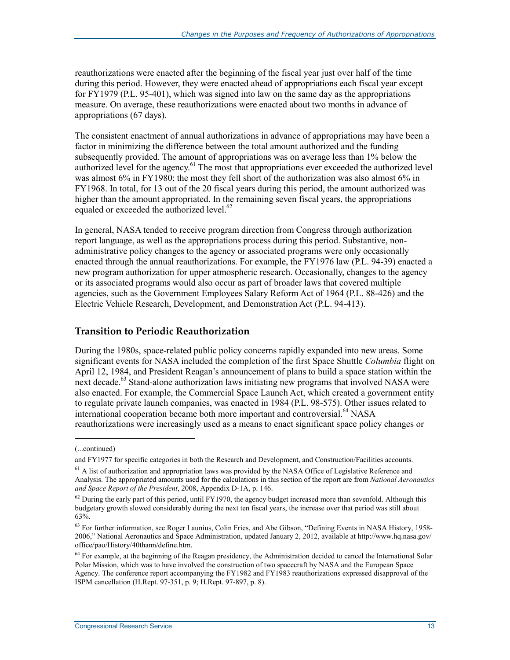reauthorizations were enacted after the beginning of the fiscal year just over half of the time during this period. However, they were enacted ahead of appropriations each fiscal year except for FY1979 (P.L. 95-401), which was signed into law on the same day as the appropriations measure. On average, these reauthorizations were enacted about two months in advance of appropriations (67 days).

The consistent enactment of annual authorizations in advance of appropriations may have been a factor in minimizing the difference between the total amount authorized and the funding subsequently provided. The amount of appropriations was on average less than 1% below the authorized level for the agency.<sup>61</sup> The most that appropriations ever exceeded the authorized level was almost 6% in FY1980; the most they fell short of the authorization was also almost 6% in FY1968. In total, for 13 out of the 20 fiscal years during this period, the amount authorized was higher than the amount appropriated. In the remaining seven fiscal years, the appropriations equaled or exceeded the authorized level.<sup>62</sup>

In general, NASA tended to receive program direction from Congress through authorization report language, as well as the appropriations process during this period. Substantive, nonadministrative policy changes to the agency or associated programs were only occasionally enacted through the annual reauthorizations. For example, the FY1976 law (P.L. 94-39) enacted a new program authorization for upper atmospheric research. Occasionally, changes to the agency or its associated programs would also occur as part of broader laws that covered multiple agencies, such as the Government Employees Salary Reform Act of 1964 (P.L. 88-426) and the Electric Vehicle Research, Development, and Demonstration Act (P.L. 94-413).

#### **Transition to Periodic Reauthorization**

During the 1980s, space-related public policy concerns rapidly expanded into new areas. Some significant events for NASA included the completion of the first Space Shuttle *Columbia* flight on April 12, 1984, and President Reagan's announcement of plans to build a space station within the next decade.<sup>63</sup> Stand-alone authorization laws initiating new programs that involved NASA were also enacted. For example, the Commercial Space Launch Act, which created a government entity to regulate private launch companies, was enacted in 1984 (P.L. 98-575). Other issues related to international cooperation became both more important and controversial.<sup>64</sup> NASA reauthorizations were increasingly used as a means to enact significant space policy changes or

<sup>(...</sup>continued)

and FY1977 for specific categories in both the Research and Development, and Construction/Facilities accounts.

<sup>&</sup>lt;sup>61</sup> A list of authorization and appropriation laws was provided by the NASA Office of Legislative Reference and Analysis. The appropriated amounts used for the calculations in this section of the report are from *National Aeronautics and Space Report of the President*, 2008, Appendix D-1A, p. 146.

 $62$  During the early part of this period, until FY1970, the agency budget increased more than sevenfold. Although this budgetary growth slowed considerably during the next ten fiscal years, the increase over that period was still about 63%.

<sup>&</sup>lt;sup>63</sup> For further information, see Roger Launius, Colin Fries, and Abe Gibson, "Defining Events in NASA History, 1958-2006," National Aeronautics and Space Administration, updated January 2, 2012, available at http://www.hq.nasa.gov/ office/pao/History/40thann/define.htm.

 $64$  For example, at the beginning of the Reagan presidency, the Administration decided to cancel the International Solar Polar Mission, which was to have involved the construction of two spacecraft by NASA and the European Space Agency. The conference report accompanying the FY1982 and FY1983 reauthorizations expressed disapproval of the ISPM cancellation (H.Rept. 97-351, p. 9; H.Rept. 97-897, p. 8).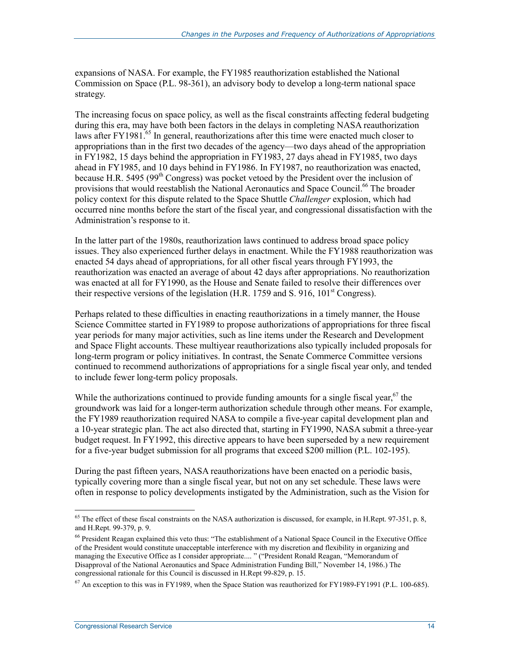expansions of NASA. For example, the FY1985 reauthorization established the National Commission on Space (P.L. 98-361), an advisory body to develop a long-term national space strategy.

The increasing focus on space policy, as well as the fiscal constraints affecting federal budgeting during this era, may have both been factors in the delays in completing NASA reauthorization laws after FY1981.<sup>65</sup> In general, reauthorizations after this time were enacted much closer to appropriations than in the first two decades of the agency—two days ahead of the appropriation in FY1982, 15 days behind the appropriation in FY1983, 27 days ahead in FY1985, two days ahead in FY1985, and 10 days behind in FY1986. In FY1987, no reauthorization was enacted, because H.R. 5495 (99<sup>th</sup> Congress) was pocket vetoed by the President over the inclusion of provisions that would reestablish the National Aeronautics and Space Council.<sup>66</sup> The broader policy context for this dispute related to the Space Shuttle *Challenger* explosion, which had occurred nine months before the start of the fiscal year, and congressional dissatisfaction with the Administration's response to it.

In the latter part of the 1980s, reauthorization laws continued to address broad space policy issues. They also experienced further delays in enactment. While the FY1988 reauthorization was enacted 54 days ahead of appropriations, for all other fiscal years through FY1993, the reauthorization was enacted an average of about 42 days after appropriations. No reauthorization was enacted at all for FY1990, as the House and Senate failed to resolve their differences over their respective versions of the legislation (H.R. 1759 and S. 916,  $101<sup>st</sup>$  Congress).

Perhaps related to these difficulties in enacting reauthorizations in a timely manner, the House Science Committee started in FY1989 to propose authorizations of appropriations for three fiscal year periods for many major activities, such as line items under the Research and Development and Space Flight accounts. These multiyear reauthorizations also typically included proposals for long-term program or policy initiatives. In contrast, the Senate Commerce Committee versions continued to recommend authorizations of appropriations for a single fiscal year only, and tended to include fewer long-term policy proposals.

While the authorizations continued to provide funding amounts for a single fiscal year,  $67$  the groundwork was laid for a longer-term authorization schedule through other means. For example, the FY1989 reauthorization required NASA to compile a five-year capital development plan and a 10-year strategic plan. The act also directed that, starting in FY1990, NASA submit a three-year budget request. In FY1992, this directive appears to have been superseded by a new requirement for a five-year budget submission for all programs that exceed \$200 million (P.L. 102-195).

During the past fifteen years, NASA reauthorizations have been enacted on a periodic basis, typically covering more than a single fiscal year, but not on any set schedule. These laws were often in response to policy developments instigated by the Administration, such as the Vision for

 $65$  The effect of these fiscal constraints on the NASA authorization is discussed, for example, in H.Rept. 97-351, p. 8, and H.Rept. 99-379, p. 9.

<sup>66</sup> President Reagan explained this veto thus: "The establishment of a National Space Council in the Executive Office of the President would constitute unacceptable interference with my discretion and flexibility in organizing and managing the Executive Office as I consider appropriate.... " ("President Ronald Reagan, "Memorandum of Disapproval of the National Aeronautics and Space Administration Funding Bill," November 14, 1986.) The congressional rationale for this Council is discussed in H.Rept 99-829, p. 15.

 $^{67}$  An exception to this was in FY1989, when the Space Station was reauthorized for FY1989-FY1991 (P.L. 100-685).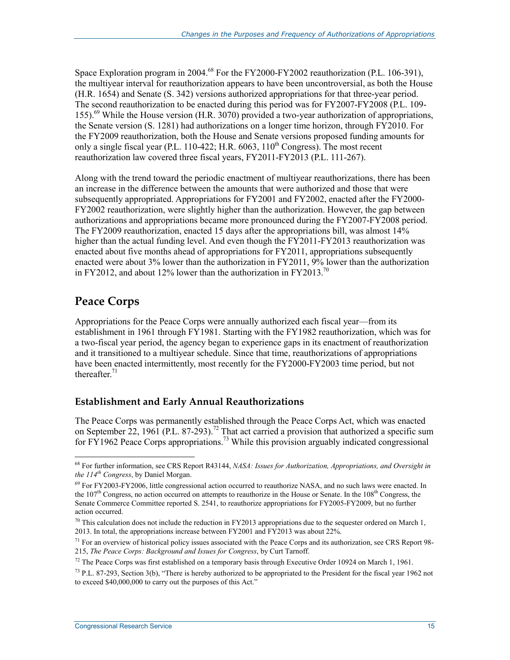Space Exploration program in 2004.<sup>68</sup> For the FY2000-FY2002 reauthorization (P.L. 106-391), the multiyear interval for reauthorization appears to have been uncontroversial, as both the House (H.R. 1654) and Senate (S. 342) versions authorized appropriations for that three-year period. The second reauthorization to be enacted during this period was for FY2007-FY2008 (P.L. 109- 155).69 While the House version (H.R. 3070) provided a two-year authorization of appropriations, the Senate version (S. 1281) had authorizations on a longer time horizon, through FY2010. For the FY2009 reauthorization, both the House and Senate versions proposed funding amounts for only a single fiscal year (P.L. 110-422; H.R.  $6063$ ,  $110^{th}$  Congress). The most recent reauthorization law covered three fiscal years, FY2011-FY2013 (P.L. 111-267).

Along with the trend toward the periodic enactment of multiyear reauthorizations, there has been an increase in the difference between the amounts that were authorized and those that were subsequently appropriated. Appropriations for FY2001 and FY2002, enacted after the FY2000- FY2002 reauthorization, were slightly higher than the authorization. However, the gap between authorizations and appropriations became more pronounced during the FY2007-FY2008 period. The FY2009 reauthorization, enacted 15 days after the appropriations bill, was almost 14% higher than the actual funding level. And even though the FY2011-FY2013 reauthorization was enacted about five months ahead of appropriations for FY2011, appropriations subsequently enacted were about 3% lower than the authorization in FY2011, 9% lower than the authorization in FY2012, and about 12% lower than the authorization in FY2013.<sup>70</sup>

## **Peace Corps**

<u>.</u>

Appropriations for the Peace Corps were annually authorized each fiscal year—from its establishment in 1961 through FY1981. Starting with the FY1982 reauthorization, which was for a two-fiscal year period, the agency began to experience gaps in its enactment of reauthorization and it transitioned to a multiyear schedule. Since that time, reauthorizations of appropriations have been enacted intermittently, most recently for the FY2000-FY2003 time period, but not thereafter. $71$ 

#### **Establishment and Early Annual Reauthorizations**

The Peace Corps was permanently established through the Peace Corps Act, which was enacted on September 22, 1961 (P.L. 87-293).<sup>72</sup> That act carried a provision that authorized a specific sum for FY1962 Peace Corps appropriations.<sup>73</sup> While this provision arguably indicated congressional

<sup>68</sup> For further information, see CRS Report R43144, *NASA: Issues for Authorization, Appropriations, and Oversight in the 114th Congress*, by Daniel Morgan.

 $^{69}$  For FY2003-FY2006, little congressional action occurred to reauthorize NASA, and no such laws were enacted. In the  $107<sup>th</sup>$  Congress, no action occurred on attempts to reauthorize in the House or Senate. In the  $108<sup>th</sup>$  Congress, the Senate Commerce Committee reported S. 2541, to reauthorize appropriations for FY2005-FY2009, but no further action occurred.

<sup>&</sup>lt;sup>70</sup> This calculation does not include the reduction in FY2013 appropriations due to the sequester ordered on March 1, 2013. In total, the appropriations increase between  $FY2001$  and  $FY2013$  was about 22%.

 $71$  For an overview of historical policy issues associated with the Peace Corps and its authorization, see CRS Report 98-215, *The Peace Corps: Background and Issues for Congress*, by Curt Tarnoff.

<sup>&</sup>lt;sup>72</sup> The Peace Corps was first established on a temporary basis through Executive Order 10924 on March 1, 1961.

 $^{73}$  P.L. 87-293, Section 3(b), "There is hereby authorized to be appropriated to the President for the fiscal year 1962 not to exceed \$40,000,000 to carry out the purposes of this Act."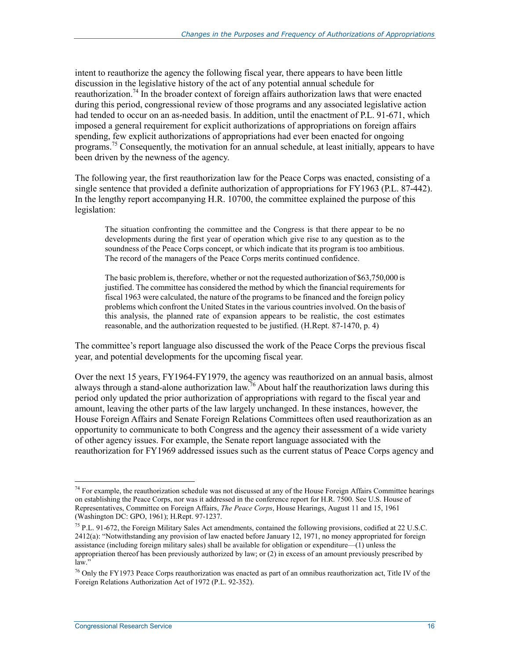intent to reauthorize the agency the following fiscal year, there appears to have been little discussion in the legislative history of the act of any potential annual schedule for reauthorization.<sup>74</sup> In the broader context of foreign affairs authorization laws that were enacted during this period, congressional review of those programs and any associated legislative action had tended to occur on an as-needed basis. In addition, until the enactment of P.L. 91-671, which imposed a general requirement for explicit authorizations of appropriations on foreign affairs spending, few explicit authorizations of appropriations had ever been enacted for ongoing programs.<sup>75</sup> Consequently, the motivation for an annual schedule, at least initially, appears to have been driven by the newness of the agency.

The following year, the first reauthorization law for the Peace Corps was enacted, consisting of a single sentence that provided a definite authorization of appropriations for FY1963 (P.L. 87-442). In the lengthy report accompanying H.R. 10700, the committee explained the purpose of this legislation:

The situation confronting the committee and the Congress is that there appear to be no developments during the first year of operation which give rise to any question as to the soundness of the Peace Corps concept, or which indicate that its program is too ambitious. The record of the managers of the Peace Corps merits continued confidence.

The basic problem is, therefore, whether or not the requested authorization of \$63,750,000 is justified. The committee has considered the method by which the financial requirements for fiscal 1963 were calculated, the nature of the programs to be financed and the foreign policy problems which confront the United States in the various countries involved. On the basis of this analysis, the planned rate of expansion appears to be realistic, the cost estimates reasonable, and the authorization requested to be justified. (H.Rept. 87-1470, p. 4)

The committee's report language also discussed the work of the Peace Corps the previous fiscal year, and potential developments for the upcoming fiscal year.

Over the next 15 years, FY1964-FY1979, the agency was reauthorized on an annual basis, almost always through a stand-alone authorization law.76 About half the reauthorization laws during this period only updated the prior authorization of appropriations with regard to the fiscal year and amount, leaving the other parts of the law largely unchanged. In these instances, however, the House Foreign Affairs and Senate Foreign Relations Committees often used reauthorization as an opportunity to communicate to both Congress and the agency their assessment of a wide variety of other agency issues. For example, the Senate report language associated with the reauthorization for FY1969 addressed issues such as the current status of Peace Corps agency and

 $74$  For example, the reauthorization schedule was not discussed at any of the House Foreign Affairs Committee hearings on establishing the Peace Corps, nor was it addressed in the conference report for H.R. 7500. See U.S. House of Representatives, Committee on Foreign Affairs, *The Peace Corps*, House Hearings, August 11 and 15, 1961 (Washington DC: GPO, 1961); H.Rept. 97-1237.

<sup>&</sup>lt;sup>75</sup> P.L. 91-672, the Foreign Military Sales Act amendments, contained the following provisions, codified at 22 U.S.C. 2412(a): "Notwithstanding any provision of law enacted before January 12, 1971, no money appropriated for foreign assistance (including foreign military sales) shall be available for obligation or expenditure—(1) unless the appropriation thereof has been previously authorized by law; or (2) in excess of an amount previously prescribed by law."

<sup>&</sup>lt;sup>76</sup> Only the FY1973 Peace Corps reauthorization was enacted as part of an omnibus reauthorization act, Title IV of the Foreign Relations Authorization Act of 1972 (P.L. 92-352).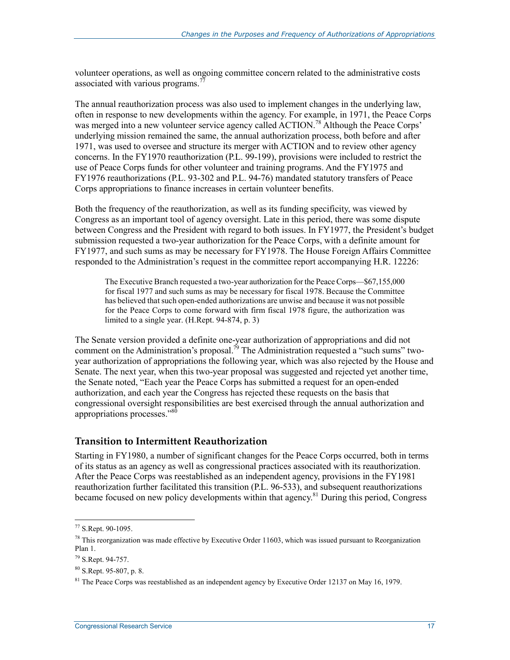volunteer operations, as well as ongoing committee concern related to the administrative costs associated with various programs.<sup>7</sup>

The annual reauthorization process was also used to implement changes in the underlying law, often in response to new developments within the agency. For example, in 1971, the Peace Corps was merged into a new volunteer service agency called ACTION.<sup>78</sup> Although the Peace Corps' underlying mission remained the same, the annual authorization process, both before and after 1971, was used to oversee and structure its merger with ACTION and to review other agency concerns. In the FY1970 reauthorization (P.L. 99-199), provisions were included to restrict the use of Peace Corps funds for other volunteer and training programs. And the FY1975 and FY1976 reauthorizations (P.L. 93-302 and P.L. 94-76) mandated statutory transfers of Peace Corps appropriations to finance increases in certain volunteer benefits.

Both the frequency of the reauthorization, as well as its funding specificity, was viewed by Congress as an important tool of agency oversight. Late in this period, there was some dispute between Congress and the President with regard to both issues. In FY1977, the President's budget submission requested a two-year authorization for the Peace Corps, with a definite amount for FY1977, and such sums as may be necessary for FY1978. The House Foreign Affairs Committee responded to the Administration's request in the committee report accompanying H.R. 12226:

The Executive Branch requested a two-year authorization for the Peace Corps—\$67,155,000 for fiscal 1977 and such sums as may be necessary for fiscal 1978. Because the Committee has believed that such open-ended authorizations are unwise and because it was not possible for the Peace Corps to come forward with firm fiscal 1978 figure, the authorization was limited to a single year. (H.Rept. 94-874, p. 3)

The Senate version provided a definite one-year authorization of appropriations and did not comment on the Administration's proposal.<sup>79</sup> The Administration requested a "such sums" twoyear authorization of appropriations the following year, which was also rejected by the House and Senate. The next year, when this two-year proposal was suggested and rejected yet another time, the Senate noted, "Each year the Peace Corps has submitted a request for an open-ended authorization, and each year the Congress has rejected these requests on the basis that congressional oversight responsibilities are best exercised through the annual authorization and appropriations processes."<sup>80</sup>

#### **Transition to Intermittent Reauthorization**

Starting in FY1980, a number of significant changes for the Peace Corps occurred, both in terms of its status as an agency as well as congressional practices associated with its reauthorization. After the Peace Corps was reestablished as an independent agency, provisions in the FY1981 reauthorization further facilitated this transition (P.L. 96-533), and subsequent reauthorizations became focused on new policy developments within that agency.<sup>81</sup> During this period, Congress

<sup>77</sup> S.Rept. 90-1095.

 $^{78}$  This reorganization was made effective by Executive Order 11603, which was issued pursuant to Reorganization Plan 1.

<sup>79</sup> S.Rept. 94-757.

<sup>80</sup> S.Rept. 95-807, p. 8.

 $81$  The Peace Corps was reestablished as an independent agency by Executive Order 12137 on May 16, 1979.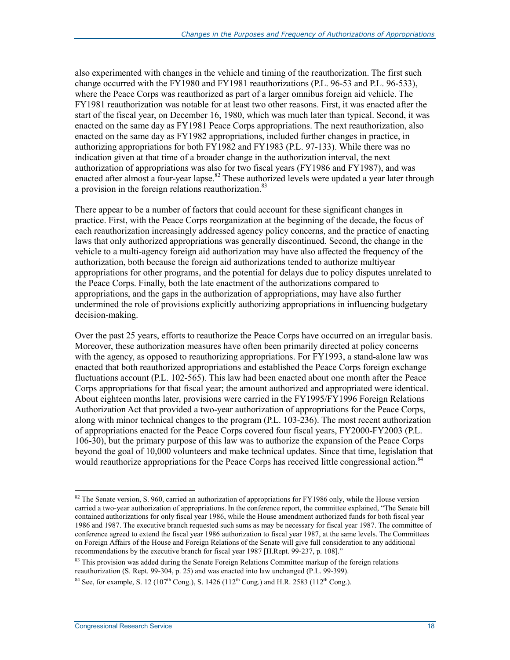also experimented with changes in the vehicle and timing of the reauthorization. The first such change occurred with the FY1980 and FY1981 reauthorizations (P.L. 96-53 and P.L. 96-533), where the Peace Corps was reauthorized as part of a larger omnibus foreign aid vehicle. The FY1981 reauthorization was notable for at least two other reasons. First, it was enacted after the start of the fiscal year, on December 16, 1980, which was much later than typical. Second, it was enacted on the same day as FY1981 Peace Corps appropriations. The next reauthorization, also enacted on the same day as FY1982 appropriations, included further changes in practice, in authorizing appropriations for both FY1982 and FY1983 (P.L. 97-133). While there was no indication given at that time of a broader change in the authorization interval, the next authorization of appropriations was also for two fiscal years (FY1986 and FY1987), and was enacted after almost a four-year lapse.<sup>82</sup> These authorized levels were updated a year later through a provision in the foreign relations reauthorization.<sup>83</sup>

There appear to be a number of factors that could account for these significant changes in practice. First, with the Peace Corps reorganization at the beginning of the decade, the focus of each reauthorization increasingly addressed agency policy concerns, and the practice of enacting laws that only authorized appropriations was generally discontinued. Second, the change in the vehicle to a multi-agency foreign aid authorization may have also affected the frequency of the authorization, both because the foreign aid authorizations tended to authorize multiyear appropriations for other programs, and the potential for delays due to policy disputes unrelated to the Peace Corps. Finally, both the late enactment of the authorizations compared to appropriations, and the gaps in the authorization of appropriations, may have also further undermined the role of provisions explicitly authorizing appropriations in influencing budgetary decision-making.

Over the past 25 years, efforts to reauthorize the Peace Corps have occurred on an irregular basis. Moreover, these authorization measures have often been primarily directed at policy concerns with the agency, as opposed to reauthorizing appropriations. For FY1993, a stand-alone law was enacted that both reauthorized appropriations and established the Peace Corps foreign exchange fluctuations account (P.L. 102-565). This law had been enacted about one month after the Peace Corps appropriations for that fiscal year; the amount authorized and appropriated were identical. About eighteen months later, provisions were carried in the FY1995/FY1996 Foreign Relations Authorization Act that provided a two-year authorization of appropriations for the Peace Corps, along with minor technical changes to the program (P.L. 103-236). The most recent authorization of appropriations enacted for the Peace Corps covered four fiscal years, FY2000-FY2003 (P.L. 106-30), but the primary purpose of this law was to authorize the expansion of the Peace Corps beyond the goal of 10,000 volunteers and make technical updates. Since that time, legislation that would reauthorize appropriations for the Peace Corps has received little congressional action.<sup>84</sup>

 $82$  The Senate version, S. 960, carried an authorization of appropriations for FY1986 only, while the House version carried a two-year authorization of appropriations. In the conference report, the committee explained, "The Senate bill contained authorizations for only fiscal year 1986, while the House amendment authorized funds for both fiscal year 1986 and 1987. The executive branch requested such sums as may be necessary for fiscal year 1987. The committee of conference agreed to extend the fiscal year 1986 authorization to fiscal year 1987, at the same levels. The Committees on Foreign Affairs of the House and Foreign Relations of the Senate will give full consideration to any additional recommendations by the executive branch for fiscal year 1987 [H.Rept. 99-237, p. 108]."

<sup>&</sup>lt;sup>83</sup> This provision was added during the Senate Foreign Relations Committee markup of the foreign relations reauthorization (S. Rept. 99-304, p. 25) and was enacted into law unchanged (P.L. 99-399).

<sup>&</sup>lt;sup>84</sup> See, for example, S. 12 (107<sup>th</sup> Cong.), S. 1426 (112<sup>th</sup> Cong.) and H.R. 2583 (112<sup>th</sup> Cong.).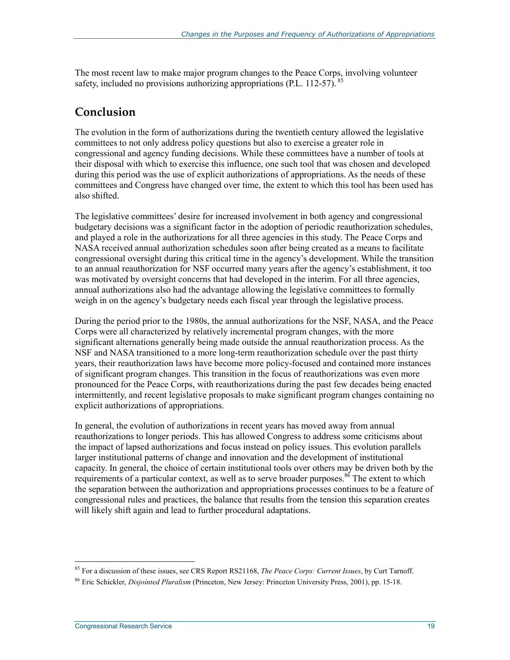The most recent law to make major program changes to the Peace Corps, involving volunteer safety, included no provisions authorizing appropriations (P.L. 112-57).

#### **Conclusion**

The evolution in the form of authorizations during the twentieth century allowed the legislative committees to not only address policy questions but also to exercise a greater role in congressional and agency funding decisions. While these committees have a number of tools at their disposal with which to exercise this influence, one such tool that was chosen and developed during this period was the use of explicit authorizations of appropriations. As the needs of these committees and Congress have changed over time, the extent to which this tool has been used has also shifted.

The legislative committees' desire for increased involvement in both agency and congressional budgetary decisions was a significant factor in the adoption of periodic reauthorization schedules, and played a role in the authorizations for all three agencies in this study. The Peace Corps and NASA received annual authorization schedules soon after being created as a means to facilitate congressional oversight during this critical time in the agency's development. While the transition to an annual reauthorization for NSF occurred many years after the agency's establishment, it too was motivated by oversight concerns that had developed in the interim. For all three agencies, annual authorizations also had the advantage allowing the legislative committees to formally weigh in on the agency's budgetary needs each fiscal year through the legislative process.

During the period prior to the 1980s, the annual authorizations for the NSF, NASA, and the Peace Corps were all characterized by relatively incremental program changes, with the more significant alternations generally being made outside the annual reauthorization process. As the NSF and NASA transitioned to a more long-term reauthorization schedule over the past thirty years, their reauthorization laws have become more policy-focused and contained more instances of significant program changes. This transition in the focus of reauthorizations was even more pronounced for the Peace Corps, with reauthorizations during the past few decades being enacted intermittently, and recent legislative proposals to make significant program changes containing no explicit authorizations of appropriations.

In general, the evolution of authorizations in recent years has moved away from annual reauthorizations to longer periods. This has allowed Congress to address some criticisms about the impact of lapsed authorizations and focus instead on policy issues. This evolution parallels larger institutional patterns of change and innovation and the development of institutional capacity. In general, the choice of certain institutional tools over others may be driven both by the requirements of a particular context, as well as to serve broader purposes.<sup>86</sup> The extent to which the separation between the authorization and appropriations processes continues to be a feature of congressional rules and practices, the balance that results from the tension this separation creates will likely shift again and lead to further procedural adaptations.

<sup>85</sup> For a discussion of these issues, see CRS Report RS21168, *The Peace Corps: Current Issues*, by Curt Tarnoff.

<sup>86</sup> Eric Schickler, *Disjointed Pluralism* (Princeton, New Jersey: Princeton University Press, 2001), pp. 15-18.